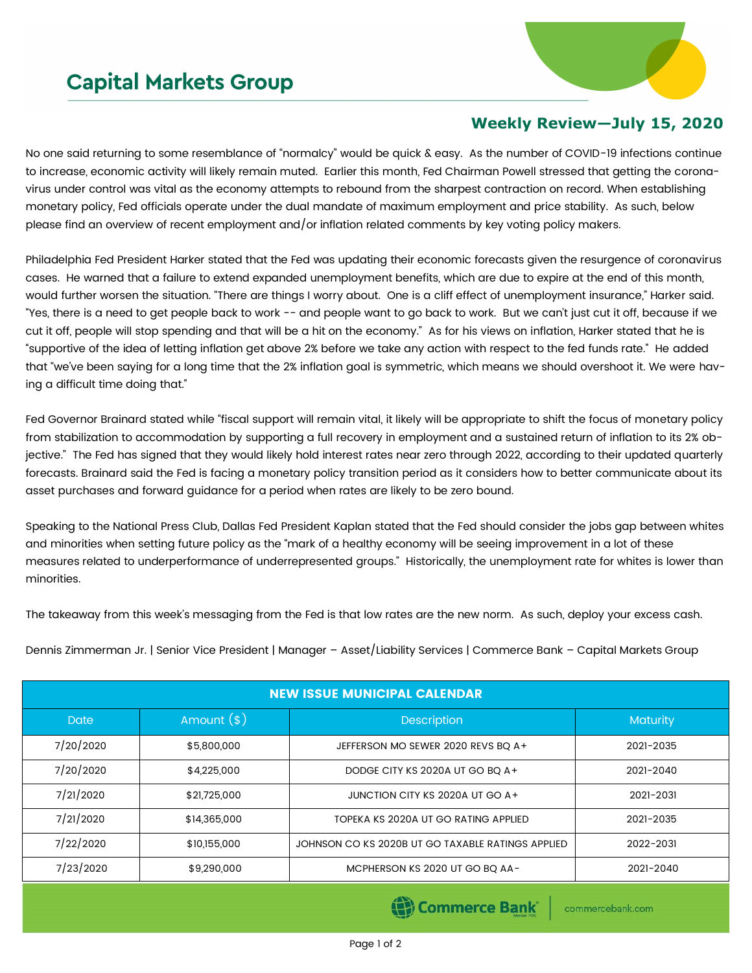## **Capital Markets Group**



## **Weekly Review—July 15, 2020**

No one said returning to some resemblance of "normalcy" would be quick & easy. As the number of COVID-19 infections continue to increase, economic activity will likely remain muted. Earlier this month, Fed Chairman Powell stressed that getting the coronavirus under control was vital as the economy attempts to rebound from the sharpest contraction on record. When establishing monetary policy, Fed officials operate under the dual mandate of maximum employment and price stability. As such, below please find an overview of recent employment and/or inflation related comments by key voting policy makers.

Philadelphia Fed President Harker stated that the Fed was updating their economic forecasts given the resurgence of coronavirus cases. He warned that a failure to extend expanded unemployment benefits, which are due to expire at the end of this month, would further worsen the situation. "There are things I worry about. One is a cliff effect of unemployment insurance," Harker said. "Yes, there is a need to get people back to work -- and people want to go back to work. But we can't just cut it off, because if we cut it off, people will stop spending and that will be a hit on the economy." As for his views on inflation, Harker stated that he is "supportive of the idea of letting inflation get above 2% before we take any action with respect to the fed funds rate." He added that "we've been saying for a long time that the 2% inflation goal is symmetric, which means we should overshoot it. We were having a difficult time doing that."

Fed Governor Brainard stated while "fiscal support will remain vital, it likely will be appropriate to shift the focus of monetary policy from stabilization to accommodation by supporting a full recovery in employment and a sustained return of inflation to its 2% objective." The Fed has signed that they would likely hold interest rates near zero through 2022, according to their updated quarterly forecasts. Brainard said the Fed is facing a monetary policy transition period as it considers how to better communicate about its asset purchases and forward guidance for a period when rates are likely to be zero bound.

Speaking to the National Press Club, Dallas Fed President Kaplan stated that the Fed should consider the jobs gap between whites and minorities when setting future policy as the "mark of a healthy economy will be seeing improvement in a lot of these measures related to underperformance of underrepresented groups." Historically, the unemployment rate for whites is lower than minorities.

The takeaway from this week's messaging from the Fed is that low rates are the new norm. As such, deploy your excess cash.

Dennis Zimmerman Jr. | Senior Vice President | Manager – Asset/Liability Services | Commerce Bank – Capital Markets Group

| <b>NEW ISSUE MUNICIPAL CALENDAR</b> |              |                                                   |                 |  |  |  |  |
|-------------------------------------|--------------|---------------------------------------------------|-----------------|--|--|--|--|
| <b>Date</b>                         | Amount $(*)$ | Description                                       | <b>Maturity</b> |  |  |  |  |
| 7/20/2020                           | \$5,800,000  | JEFFERSON MO SEWER 2020 REVS BQ A+                | 2021-2035       |  |  |  |  |
| 7/20/2020                           | \$4,225,000  | DODGE CITY KS 2020A UT GO BO A+                   | 2021-2040       |  |  |  |  |
| 7/21/2020                           | \$21,725,000 | JUNCTION CITY KS 2020A UT GO A+                   | 2021-2031       |  |  |  |  |
| 7/21/2020                           | \$14,365,000 | TOPEKA KS 2020A UT GO RATING APPLIED              | 2021-2035       |  |  |  |  |
| 7/22/2020                           | \$10,155,000 | JOHNSON CO KS 2020B UT GO TAXABLE RATINGS APPLIED | 2022-2031       |  |  |  |  |
| 7/23/2020                           | \$9,290,000  | MCPHERSON KS 2020 UT GO BO AA-                    | 2021-2040       |  |  |  |  |

Commerce Bank

commercebank.com